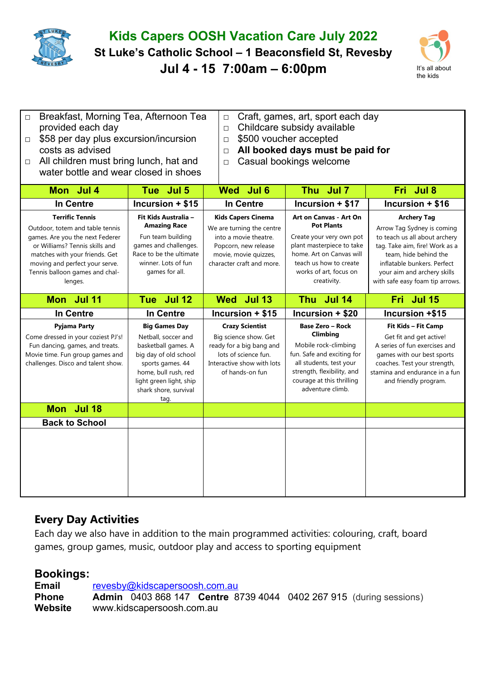

## **Kids Capers OOSH Vacation Care July 2022**

**St Luke's Catholic School – 1 Beaconsfield St, Revesby** 

**Jul 4 - 15 7:00am – 6:00pm** It's all about



| □ Breakfast, Morning Tea, Afternoon Tea |
|-----------------------------------------|
| provided each day                       |

- □ Craft, games, art, sport each day
- □ Childcare subsidy available
- □ \$58 per day plus excursion/incursion costs as advised □ All children must bring lunch, hat and

water bottle and wear closed in shoes

- □ \$500 voucher accepted
- □ **All booked days must be paid for**
- □ Casual bookings welcome

| Mon Jul 4                                                                                                                                                                                                                                       | Tue Jul 5                                                                                                                                                                                           | Wed Jul 6                                                                                                                                                     | Thu Jul 7                                                                                                                                                                                           | Fri Jul 8                                                                                                                                                                                                                                     |
|-------------------------------------------------------------------------------------------------------------------------------------------------------------------------------------------------------------------------------------------------|-----------------------------------------------------------------------------------------------------------------------------------------------------------------------------------------------------|---------------------------------------------------------------------------------------------------------------------------------------------------------------|-----------------------------------------------------------------------------------------------------------------------------------------------------------------------------------------------------|-----------------------------------------------------------------------------------------------------------------------------------------------------------------------------------------------------------------------------------------------|
| In Centre                                                                                                                                                                                                                                       | Incursion $+ $15$                                                                                                                                                                                   | In Centre                                                                                                                                                     | Incursion + \$17                                                                                                                                                                                    | Incursion + \$16                                                                                                                                                                                                                              |
| <b>Terrific Tennis</b><br>Outdoor, totem and table tennis<br>games. Are you the next Federer<br>or Williams? Tennis skills and<br>matches with your friends. Get<br>moving and perfect your serve.<br>Tennis balloon games and chal-<br>lenges. | Fit Kids Australia -<br><b>Amazing Race</b><br>Fun team building<br>games and challenges.<br>Race to be the ultimate<br>winner. Lots of fun<br>games for all.                                       | <b>Kids Capers Cinema</b><br>We are turning the centre<br>into a movie theatre.<br>Popcorn, new release<br>movie, movie quizzes,<br>character craft and more. | Art on Canvas - Art On<br><b>Pot Plants</b><br>Create your very own pot<br>plant masterpiece to take<br>home. Art on Canvas will<br>teach us how to create<br>works of art, focus on<br>creativity. | <b>Archery Tag</b><br>Arrow Tag Sydney is coming<br>to teach us all about archery<br>tag. Take aim, fire! Work as a<br>team, hide behind the<br>inflatable bunkers. Perfect<br>your aim and archery skills<br>with safe easy foam tip arrows. |
| Mon Jul 11                                                                                                                                                                                                                                      | Tue Jul 12                                                                                                                                                                                          | Wed Jul 13                                                                                                                                                    | Thu Jul 14                                                                                                                                                                                          | Fri Jul 15                                                                                                                                                                                                                                    |
| In Centre                                                                                                                                                                                                                                       | In Centre                                                                                                                                                                                           | Incursion + \$15                                                                                                                                              | Incursion + \$20                                                                                                                                                                                    | Incursion +\$15                                                                                                                                                                                                                               |
| <b>Pyjama Party</b><br>Come dressed in your coziest PJ's!<br>Fun dancing, games, and treats.<br>Movie time. Fun group games and<br>challenges. Disco and talent show.                                                                           | <b>Big Games Day</b><br>Netball, soccer and<br>basketball games. A<br>big day of old school<br>sports games. 44<br>home, bull rush, red<br>light green light, ship<br>shark shore, survival<br>tag. | <b>Crazy Scientist</b><br>Big science show. Get<br>ready for a big bang and<br>lots of science fun.<br>Interactive show with lots<br>of hands-on fun          | <b>Base Zero - Rock</b><br>Climbing<br>Mobile rock-climbing<br>fun. Safe and exciting for<br>all students, test your<br>strength, flexibility, and<br>courage at this thrilling<br>adventure climb. | Fit Kids - Fit Camp<br>Get fit and get active!<br>A series of fun exercises and<br>games with our best sports<br>coaches. Test your strength,<br>stamina and endurance in a fun<br>and friendly program.                                      |
| Mon Jul 18                                                                                                                                                                                                                                      |                                                                                                                                                                                                     |                                                                                                                                                               |                                                                                                                                                                                                     |                                                                                                                                                                                                                                               |
| <b>Back to School</b>                                                                                                                                                                                                                           |                                                                                                                                                                                                     |                                                                                                                                                               |                                                                                                                                                                                                     |                                                                                                                                                                                                                                               |
|                                                                                                                                                                                                                                                 |                                                                                                                                                                                                     |                                                                                                                                                               |                                                                                                                                                                                                     |                                                                                                                                                                                                                                               |

## **Every Day Activities**

Each day we also have in addition to the main programmed activities: colouring, craft, board games, group games, music, outdoor play and access to sporting equipment

## **Bookings:**

Email [revesby@kidscapersoosh.com.au](mailto:dulwich@kidscapersoosh.com.au) **Phone Admin** 0403 868 147 **Centre** 8739 4044 0402 267 915 (during sessions) **Website** www.kidscapersoosh.com.au